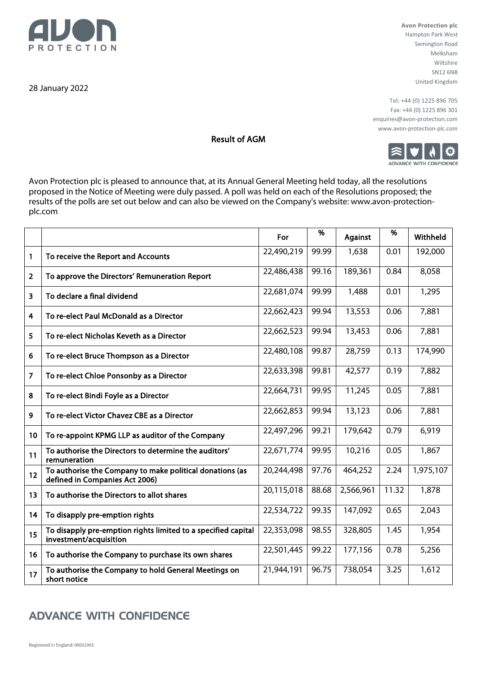

28 January 2022

**Avon Protection plc**  Hampton Park West Semington Road Melksham Wiltshire SN12 6NB United Kingdom

Tel: +44 (0) 1225 896 705 Fax: +44 (0) 1225 896 301 enquiries@avon-protection.com www.avon-protection-plc.com



Result of AGM

Avon Protection plc is pleased to announce that, at its Annual General Meeting held today, all the resolutions proposed in the Notice of Meeting were duly passed. A poll was held on each of the Resolutions proposed; the results of the polls are set out below and can also be viewed on the Company's website: www.avon-protectionplc.com

|                |                                                                                            | For        | %     | Against   | %     | Withheld  |
|----------------|--------------------------------------------------------------------------------------------|------------|-------|-----------|-------|-----------|
| 1              | To receive the Report and Accounts                                                         | 22,490,219 | 99.99 | 1,638     | 0.01  | 192,000   |
| $\overline{2}$ | To approve the Directors' Remuneration Report                                              | 22,486,438 | 99.16 | 189,361   | 0.84  | 8,058     |
| 3              | To declare a final dividend                                                                | 22,681,074 | 99.99 | 1,488     | 0.01  | 1,295     |
| 4              | To re-elect Paul McDonald as a Director                                                    | 22,662,423 | 99.94 | 13,553    | 0.06  | 7,881     |
| 5              | To re-elect Nicholas Keveth as a Director                                                  | 22,662,523 | 99.94 | 13,453    | 0.06  | 7,881     |
| 6              | To re-elect Bruce Thompson as a Director                                                   | 22,480,108 | 99.87 | 28,759    | 0.13  | 174,990   |
| 7              | To re-elect Chloe Ponsonby as a Director                                                   | 22,633,398 | 99.81 | 42,577    | 0.19  | 7,882     |
| 8              | To re-elect Bindi Foyle as a Director                                                      | 22,664,731 | 99.95 | 11,245    | 0.05  | 7,881     |
| 9              | To re-elect Victor Chavez CBE as a Director                                                | 22,662,853 | 99.94 | 13,123    | 0.06  | 7,881     |
| 10             | To re-appoint KPMG LLP as auditor of the Company                                           | 22,497,296 | 99.21 | 179,642   | 0.79  | 6,919     |
| 11             | To authorise the Directors to determine the auditors'<br>remuneration                      | 22,671,774 | 99.95 | 10,216    | 0.05  | 1,867     |
| 12             | To authorise the Company to make political donations (as<br>defined in Companies Act 2006) | 20,244,498 | 97.76 | 464,252   | 2.24  | 1,975,107 |
| 13             | To authorise the Directors to allot shares                                                 | 20,115,018 | 88.68 | 2,566,961 | 11.32 | 1,878     |
| 14             | To disapply pre-emption rights                                                             | 22,534,722 | 99.35 | 147,092   | 0.65  | 2,043     |
| 15             | To disapply pre-emption rights limited to a specified capital<br>investment/acquisition    | 22,353,098 | 98.55 | 328,805   | 1.45  | 1,954     |
| 16             | To authorise the Company to purchase its own shares                                        | 22,501,445 | 99.22 | 177,156   | 0.78  | 5,256     |
| 17             | To authorise the Company to hold General Meetings on<br>short notice                       | 21,944,191 | 96.75 | 738,054   | 3.25  | 1,612     |

## **ADVANCE WITH CONFIDENCE**